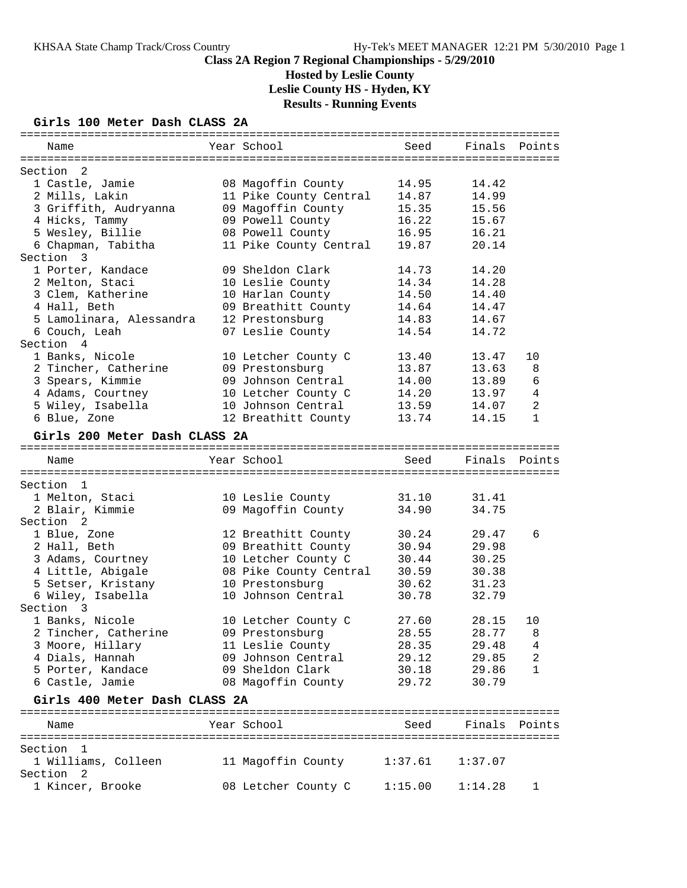# **Hosted by Leslie County**

**Leslie County HS - Hyden, KY**

**Results - Running Events**

# **Girls 100 Meter Dash CLASS 2A**

| Name                          | Year School            | Seed    | Finals Points |        |
|-------------------------------|------------------------|---------|---------------|--------|
| 2<br>Section                  |                        |         |               |        |
| 1 Castle, Jamie               | 08 Magoffin County     | 14.95   | 14.42         |        |
| 2 Mills, Lakin                | 11 Pike County Central | 14.87   | 14.99         |        |
| 3 Griffith, Audryanna         | 09 Magoffin County     | 15.35   | 15.56         |        |
| 4 Hicks, Tammy                | 09 Powell County       | 16.22   | 15.67         |        |
| 5 Wesley, Billie              | 08 Powell County       | 16.95   | 16.21         |        |
| 6 Chapman, Tabitha            | 11 Pike County Central | 19.87   | 20.14         |        |
| Section<br>$\overline{3}$     |                        |         |               |        |
| 1 Porter, Kandace             | 09 Sheldon Clark       | 14.73   | 14.20         |        |
| 2 Melton, Staci               | 10 Leslie County       | 14.34   | 14.28         |        |
| 3 Clem, Katherine             | 10 Harlan County       | 14.50   | 14.40         |        |
| 4 Hall, Beth                  | 09 Breathitt County    | 14.64   | 14.47         |        |
| 5 Lamolinara, Alessandra      | 12 Prestonsburg        | 14.83   | 14.67         |        |
| 6 Couch, Leah                 | 07 Leslie County       | 14.54   | 14.72         |        |
| Section 4                     |                        |         |               |        |
| 1 Banks, Nicole               | 10 Letcher County C    | 13.40   | 13.47         | 10     |
| 2 Tincher, Catherine          | 09 Prestonsburg        | 13.87   | 13.63         | 8      |
| 3 Spears, Kimmie              | 09 Johnson Central     | 14.00   | 13.89         | 6      |
| 4 Adams, Courtney             | 10 Letcher County C    | 14.20   | 13.97         | 4      |
| 5 Wiley, Isabella             | 10 Johnson Central     | 13.59   | 14.07         | 2      |
| 6 Blue, Zone                  | 12 Breathitt County    | 13.74   | 14.15         | 1      |
|                               |                        |         |               |        |
| Girls 200 Meter Dash CLASS 2A |                        |         |               |        |
| Name                          | Year School            | Seed    | Finals        | Points |
|                               |                        |         |               |        |
| Section 1                     |                        |         |               |        |
| 1 Melton, Staci               | 10 Leslie County       | 31.10   | 31.41         |        |
| 2 Blair, Kimmie               | 09 Magoffin County     | 34.90   | 34.75         |        |
| Section <sub>2</sub>          |                        |         |               |        |
| 1 Blue, Zone                  | 12 Breathitt County    | 30.24   | 29.47         | 6      |
| 2 Hall, Beth                  | 09 Breathitt County    | 30.94   | 29.98         |        |
| 3 Adams, Courtney             | 10 Letcher County C    | 30.44   | 30.25         |        |
| 4 Little, Abigale             | 08 Pike County Central | 30.59   | 30.38         |        |
| 5 Setser, Kristany            | 10 Prestonsburg        | 30.62   | 31.23         |        |
| 6 Wiley, Isabella             | 10 Johnson Central     | 30.78   | 32.79         |        |
| Section 3                     |                        |         |               |        |
| 1 Banks, Nicole               | 10 Letcher County C    | 27.60   | 28.15         | 10     |
| 2 Tincher, Catherine          | 09 Prestonsburg        | 28.55   | 28.77         | 8      |
| 3 Moore, Hillary              | 11 Leslie County       | 28.35   | 29.48         | 4      |
| 4 Dials, Hannah               | 09 Johnson Central     | 29.12   | 29.85         | 2      |
| 5 Porter, Kandace             | 09 Sheldon Clark       | 30.18   | 29.86         | 1      |
| 6 Castle, Jamie               | 08 Magoffin County     | 29.72   | 30.79         |        |
|                               |                        |         |               |        |
| Girls 400 Meter Dash CLASS 2A |                        |         |               |        |
| Name                          | Year School            | Seed    | Finals Points |        |
|                               |                        |         |               |        |
| Section<br>$\mathbf{1}$       |                        |         |               |        |
| 1 Williams, Colleen           | 11 Magoffin County     | 1:37.61 | 1:37.07       |        |
| Section<br>- 2                |                        |         |               |        |
| 1 Kincer, Brooke              | 08 Letcher County C    | 1:15.00 | 1:14.28       | 1      |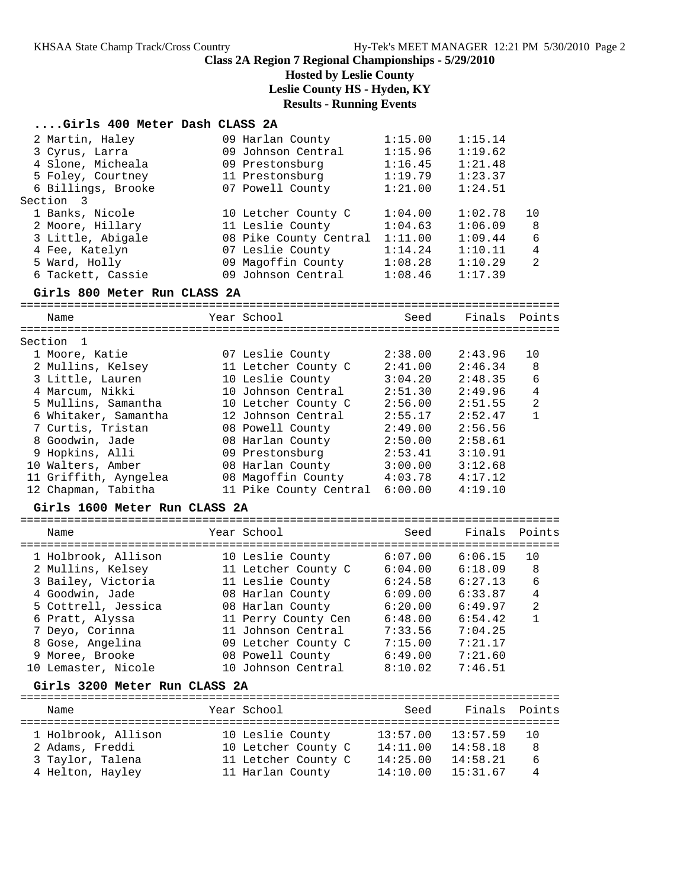**Hosted by Leslie County**

**Leslie County HS - Hyden, KY**

# **Results - Running Events**

|  | Girls 400 Meter Dash CLASS 2A |  |  |  |  |  |
|--|-------------------------------|--|--|--|--|--|
|--|-------------------------------|--|--|--|--|--|

| 2 Martin, Haley<br>3 Cyrus, Larra<br>4 Slone, Micheala<br>5 Foley, Courtney<br>6 Billings, Brooke<br>Section 3<br>1 Banks, Nicole<br>2 Moore, Hillary<br>3 Little, Abigale<br>4 Fee, Katelyn<br>5 Ward, Holly                                                                                           | 09 Harlan County<br>09 Johnson Central<br>09 Prestonsburg<br>11 Prestonsburg<br>07 Powell County<br>10 Letcher County C<br>11 Leslie County<br>08 Pike County Central<br>07 Leslie County<br>09 Magoffin County                                               | 1:15.00<br>1:15.96<br>1:16.45<br>1:19.79<br>1:21.00<br>1:04.00<br>1:04.63<br>1:11.00<br>1:14.24<br>1:08.28                       | 1:15.14<br>1:19.62<br>1:21.48<br>1:23.37<br>1:24.51<br>1:02.78<br>1:06.09<br>1:09.44<br>1:10.11<br>1:10.29                       | 10<br>8<br>6<br>4<br>$\mathfrak{D}$                              |
|---------------------------------------------------------------------------------------------------------------------------------------------------------------------------------------------------------------------------------------------------------------------------------------------------------|---------------------------------------------------------------------------------------------------------------------------------------------------------------------------------------------------------------------------------------------------------------|----------------------------------------------------------------------------------------------------------------------------------|----------------------------------------------------------------------------------------------------------------------------------|------------------------------------------------------------------|
| 6 Tackett, Cassie                                                                                                                                                                                                                                                                                       | 09 Johnson Central                                                                                                                                                                                                                                            | 1:08.46                                                                                                                          | 1:17.39                                                                                                                          |                                                                  |
| Girls 800 Meter Run CLASS 2A                                                                                                                                                                                                                                                                            |                                                                                                                                                                                                                                                               |                                                                                                                                  |                                                                                                                                  |                                                                  |
| Name                                                                                                                                                                                                                                                                                                    | Year School                                                                                                                                                                                                                                                   | Seed                                                                                                                             | Finals                                                                                                                           | Points                                                           |
|                                                                                                                                                                                                                                                                                                         |                                                                                                                                                                                                                                                               |                                                                                                                                  |                                                                                                                                  |                                                                  |
| Section 1<br>1 Moore, Katie<br>2 Mullins, Kelsey<br>3 Little, Lauren<br>4 Marcum, Nikki<br>5 Mullins, Samantha<br>6 Whitaker, Samantha<br>7 Curtis, Tristan<br>8 Goodwin, Jade<br>9 Hopkins, Alli<br>10 Walters, Amber<br>11 Griffith, Ayngelea<br>12 Chapman, Tabitha<br>Girls 1600 Meter Run CLASS 2A | 07 Leslie County<br>11 Letcher County C<br>10 Leslie County<br>10 Johnson Central<br>10 Letcher County C<br>12 Johnson Central<br>08 Powell County<br>08 Harlan County<br>09 Prestonsburg<br>08 Harlan County<br>08 Magoffin County<br>11 Pike County Central | 2:38.00<br>2:41.00<br>3:04.20<br>2:51.30<br>2:56.00<br>2:55.17<br>2:49.00<br>2:50.00<br>2:53.41<br>3:00.00<br>4:03.78<br>6:00.00 | 2:43.96<br>2:46.34<br>2:48.35<br>2:49.96<br>2:51.55<br>2:52.47<br>2:56.56<br>2:58.61<br>3:10.91<br>3:12.68<br>4:17.12<br>4:19.10 | 10<br>8<br>6<br>$\overline{4}$<br>$\overline{2}$<br>$\mathbf{1}$ |
| Name                                                                                                                                                                                                                                                                                                    | Year School                                                                                                                                                                                                                                                   | Seed                                                                                                                             | Finals                                                                                                                           | Points                                                           |
| 1 Holbrook, Allison<br>2 Mullins, Kelsey<br>3 Bailey, Victoria<br>4 Goodwin, Jade<br>5 Cottrell, Jessica<br>6 Pratt, Alyssa<br>7 Deyo, Corinna<br>8 Gose, Angelina<br>9 Moree, Brooke<br>10 Lemaster, Nicole<br>Girls 3200 Meter Run CLASS 2A                                                           | 10 Leslie County<br>11 Letcher County C<br>11 Leslie County<br>08 Harlan County<br>08 Harlan County<br>11 Perry County Cen<br>11 Johnson Central<br>09 Letcher County C<br>08 Powell County<br>10 Johnson Central                                             | 6:07.00<br>6:04.00<br>6:24.58<br>6:09.00<br>6:20.00<br>6:48.00<br>7:33.56<br>7:15.00<br>6:49.00<br>8:10.02                       | 6:06.15<br>6:18.09<br>6:27.13<br>6:33.87<br>6:49.97<br>6:54.42<br>7:04.25<br>7:21.17<br>7:21.60<br>7:46.51                       | 10<br>8<br>6<br>$\overline{4}$<br>2<br>$\mathbf{1}$              |
| Name                                                                                                                                                                                                                                                                                                    | Year School                                                                                                                                                                                                                                                   | Seed                                                                                                                             | Finals                                                                                                                           | Points                                                           |
| 1 Holbrook, Allison<br>2 Adams, Freddi<br>3 Taylor, Talena<br>4 Helton, Hayley                                                                                                                                                                                                                          | 10 Leslie County<br>10 Letcher County C<br>11 Letcher County C<br>11 Harlan County                                                                                                                                                                            | 13:57.00<br>14:11.00<br>14:25.00<br>14:10.00                                                                                     | 13:57.59<br>14:58.18<br>14:58.21<br>15:31.67                                                                                     | <b>EEEEEEEEE</b><br>10<br>8<br>6<br>4                            |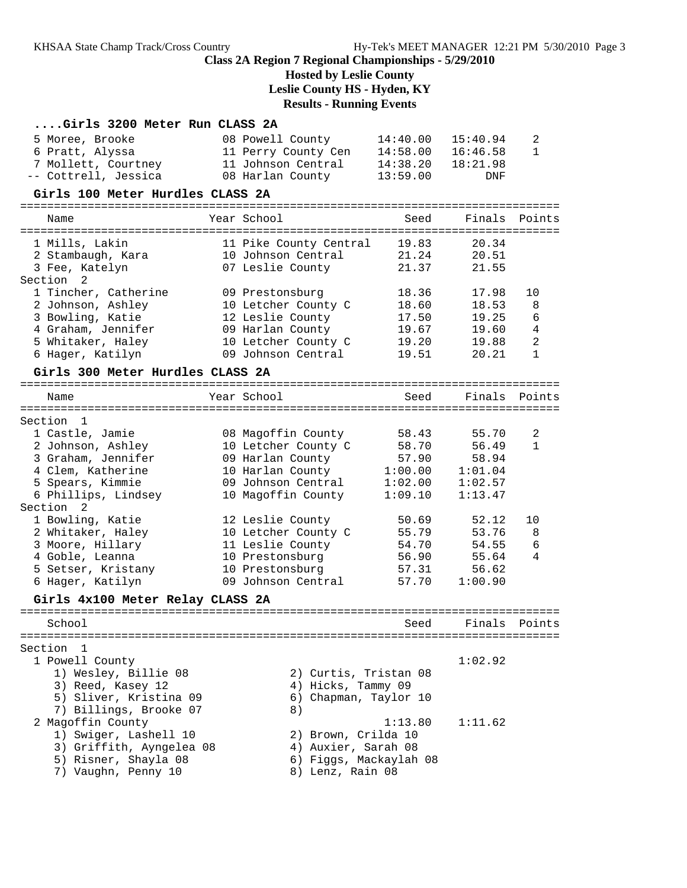# **Hosted by Leslie County**

**Leslie County HS - Hyden, KY**

# **Results - Running Events**

| Girls 3200 Meter Run CLASS 2A    |                        |          |          |                |
|----------------------------------|------------------------|----------|----------|----------------|
| 5 Moree, Brooke                  | 08 Powell County       | 14:40.00 | 15:40.94 | 2              |
| 6 Pratt, Alyssa                  | 11 Perry County Cen    | 14:58.00 | 16:46.58 | 1              |
| 7 Mollett, Courtney              | 11 Johnson Central     | 14:38.20 | 18:21.98 |                |
| -- Cottrell, Jessica             | 08 Harlan County       | 13:59.00 | DNF      |                |
| Girls 100 Meter Hurdles CLASS 2A |                        |          |          |                |
| Name                             | Year School            | Seed     | Finals   | Points         |
| 1 Mills, Lakin                   | 11 Pike County Central | 19.83    | 20.34    |                |
| 2 Stambaugh, Kara                | 10 Johnson Central     | 21.24    | 20.51    |                |
| 3 Fee, Katelyn                   | 07 Leslie County       | 21.37    | 21.55    |                |
| Section<br>2                     |                        |          |          |                |
| 1 Tincher, Catherine             | 09 Prestonsburg        | 18.36    | 17.98    | 10             |
| 2 Johnson, Ashley                | 10 Letcher County C    | 18.60    | 18.53    | 8              |
| 3 Bowling, Katie                 | 12 Leslie County       | 17.50    | 19.25    | 6              |
| 4 Graham, Jennifer               | 09 Harlan County       | 19.67    | 19.60    | 4              |
| 5 Whitaker, Haley                | 10 Letcher County C    | 19.20    | 19.88    | $\overline{2}$ |
| 6 Hager, Katilyn                 | 09 Johnson Central     | 19.51    | 20.21    | 1              |
| Girls 300 Meter Hurdles CLASS 2A |                        |          |          |                |
| Name                             | Year School            | Seed     | Finals   | Points         |
| Section<br>$\mathbf{1}$          |                        |          |          |                |
| 1 Castle, Jamie                  | 08 Magoffin County     | 58.43    | 55.70    | 2              |
| 2 Johnson, Ashley                | 10 Letcher County C    | 58.70    | 56.49    | $\mathbf{1}$   |
| 3 Graham, Jennifer               | 09 Harlan County       | 57.90    | 58.94    |                |
| 4 Clem, Katherine                | 10 Harlan County       | 1:00.00  | 1:01.04  |                |
| 5 Spears, Kimmie                 | 09 Johnson Central     | 1:02.00  | 1:02.57  |                |
| 6 Phillips, Lindsey              | 10 Magoffin County     | 1:09.10  | 1:13.47  |                |
| Section<br>$\overline{2}$        |                        |          |          |                |
| 1 Bowling, Katie                 | 12 Leslie County       | 50.69    | 52.12    | 10             |
| 2 Whitaker, Haley                | 10 Letcher County C    | 55.79    | 53.76    | 8              |
| 3 Moore, Hillary                 | 11 Leslie County       | 54.70    | 54.55    | 6              |
| 4 Goble, Leanna                  | 10 Prestonsburg        | 56.90    | 55.64    | 4              |
| 5 Setser, Kristany               | 10 Prestonsburg        | 57.31    | 56.62    |                |
| 6 Hager, Katilyn                 | 09 Johnson Central     | 57.70    | 1:00.90  |                |
| Girls 4x100 Meter Relay CLASS 2A |                        |          |          |                |
| School                           |                        | Seed     | Finals   | Points         |
| Section<br>$\mathbf{1}$          |                        |          |          |                |
| 1 Powell County                  |                        |          | 1:02.92  |                |
| 1) Wesley, Billie 08             | 2) Curtis, Tristan 08  |          |          |                |
| 3) Reed, Kasey 12                | 4) Hicks, Tammy 09     |          |          |                |
| 5) Sliver, Kristina 09           | 6) Chapman, Taylor 10  |          |          |                |
| 7) Billings, Brooke 07           | 8)                     |          |          |                |
| 2 Magoffin County                |                        | 1:13.80  | 1:11.62  |                |
| 1) Swiger, Lashell 10            | 2) Brown, Crilda 10    |          |          |                |
| 3) Griffith, Ayngelea 08         | 4) Auxier, Sarah 08    |          |          |                |
| 5) Risner, Shayla 08             | 6) Figgs, Mackaylah 08 |          |          |                |
| 7) Vaughn, Penny 10              | 8) Lenz, Rain 08       |          |          |                |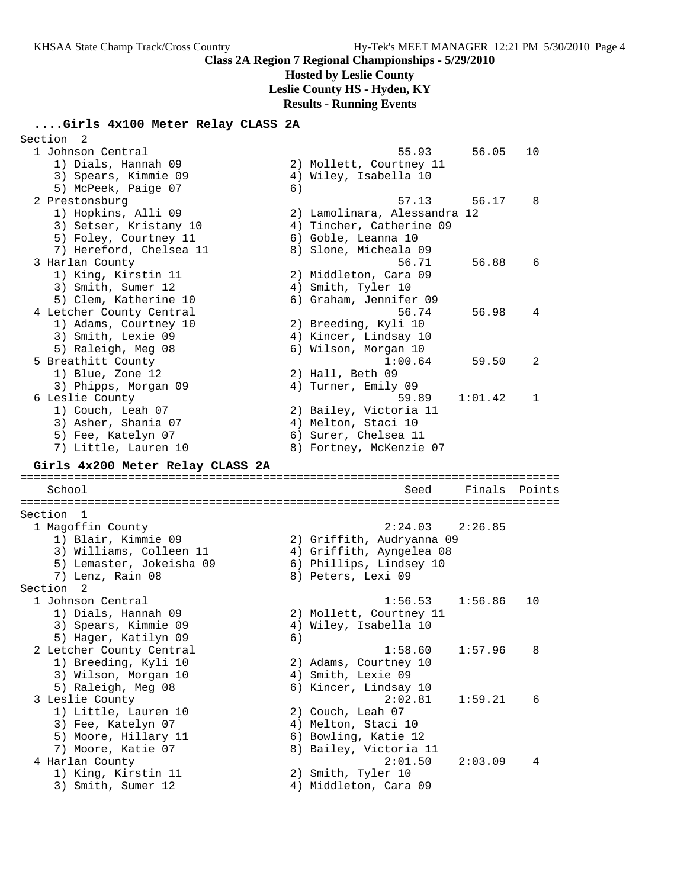# **Hosted by Leslie County**

**Leslie County HS - Hyden, KY**

**Results - Running Events**

## **....Girls 4x100 Meter Relay CLASS 2A**

| Section<br>- 2                   |    |                              |         |        |
|----------------------------------|----|------------------------------|---------|--------|
| 1 Johnson Central                |    | 55.93                        | 56.05   | 10     |
| 1) Dials, Hannah 09              |    | 2) Mollett, Courtney 11      |         |        |
| 3) Spears, Kimmie 09             |    | 4) Wiley, Isabella 10        |         |        |
| 5) McPeek, Paige 07              | 6) |                              |         |        |
| 2 Prestonsburg                   |    | 57.13                        | 56.17   | 8      |
| 1) Hopkins, Alli 09              |    | 2) Lamolinara, Alessandra 12 |         |        |
| 3) Setser, Kristany 10           |    | 4) Tincher, Catherine 09     |         |        |
| 5) Foley, Courtney 11            |    | 6) Goble, Leanna 10          |         |        |
| 7) Hereford, Chelsea 11          |    | 8) Slone, Micheala 09        |         |        |
| 3 Harlan County                  |    | 56.71                        | 56.88   | 6      |
|                                  |    |                              |         |        |
| 1) King, Kirstin 11              |    | 2) Middleton, Cara 09        |         |        |
| 3) Smith, Sumer 12               |    | 4) Smith, Tyler 10           |         |        |
| 5) Clem, Katherine 10            |    | 6) Graham, Jennifer 09       |         |        |
| 4 Letcher County Central         |    | 56.74                        | 56.98   | 4      |
| 1) Adams, Courtney 10            |    | 2) Breeding, Kyli 10         |         |        |
| 3) Smith, Lexie 09               |    | 4) Kincer, Lindsay 10        |         |        |
| 5) Raleigh, Meg 08               |    | 6) Wilson, Morgan 10         |         |        |
| 5 Breathitt County               |    | 1:00.64                      | 59.50   | 2      |
| 1) Blue, Zone 12                 |    | 2) Hall, Beth 09             |         |        |
| 3) Phipps, Morgan 09             |    | 4) Turner, Emily 09          |         |        |
| 6 Leslie County                  |    | 59.89                        | 1:01.42 | 1      |
| 1) Couch, Leah 07                |    | 2) Bailey, Victoria 11       |         |        |
| 3) Asher, Shania 07              |    | 4) Melton, Staci 10          |         |        |
| 5) Fee, Katelyn 07               |    | 6) Surer, Chelsea 11         |         |        |
| 7) Little, Lauren 10             |    | 8) Fortney, McKenzie 07      |         |        |
|                                  |    |                              |         |        |
|                                  |    |                              |         |        |
| Girls 4x200 Meter Relay CLASS 2A |    |                              |         |        |
| School                           |    | Seed                         | Finals  | Points |
|                                  |    |                              |         |        |
| Section 1                        |    |                              |         |        |
| 1 Magoffin County                |    | 2:24.03                      | 2:26.85 |        |
| 1) Blair, Kimmie 09              |    | 2) Griffith, Audryanna 09    |         |        |
| 3) Williams, Colleen 11          |    | 4) Griffith, Ayngelea 08     |         |        |
| 5) Lemaster, Jokeisha 09         |    | 6) Phillips, Lindsey 10      |         |        |
| 7) Lenz, Rain 08                 |    | 8) Peters, Lexi 09           |         |        |
| Section 2                        |    |                              |         |        |
| 1 Johnson Central                |    | 1:56.53                      | 1:56.86 | 10     |
| 1) Dials, Hannah 09              |    | 2) Mollett, Courtney 11      |         |        |
| 3) Spears, Kimmie 09             |    | 4) Wiley, Isabella 10        |         |        |
|                                  |    |                              |         |        |
| 5) Hager, Katilyn 09             | 6) |                              | 1:57.96 | 8      |
| 2 Letcher County Central         |    | 1:58.60                      |         |        |
| 1) Breeding, Kyli 10             |    | 2) Adams, Courtney 10        |         |        |
| 3) Wilson, Morgan 10             |    | 4) Smith, Lexie 09           |         |        |
| 5) Raleigh, Meg 08               |    | 6) Kincer, Lindsay 10        |         | 6      |
| 3 Leslie County                  |    | 2:02.81                      | 1:59.21 |        |
| 1) Little, Lauren 10             |    | 2) Couch, Leah 07            |         |        |
| 3) Fee, Katelyn 07               |    | 4) Melton, Staci 10          |         |        |
| 5) Moore, Hillary 11             |    | 6) Bowling, Katie 12         |         |        |
| 7) Moore, Katie 07               |    | 8) Bailey, Victoria 11       |         |        |
| 4 Harlan County                  |    | 2:01.50                      | 2:03.09 | 4      |
| 1) King, Kirstin 11              |    | 2) Smith, Tyler 10           |         |        |
| 3) Smith, Sumer 12               |    | 4) Middleton, Cara 09        |         |        |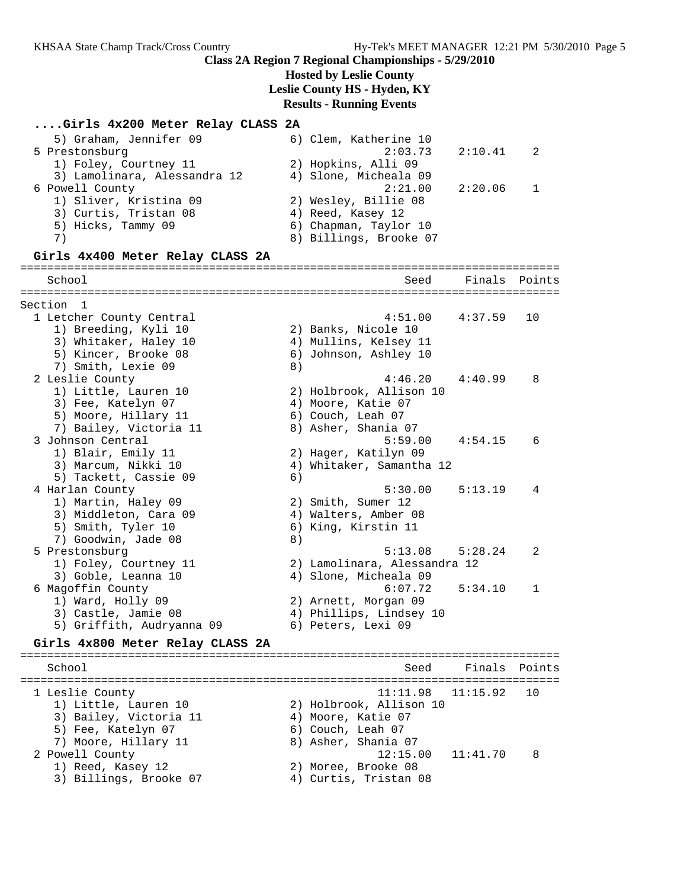**Hosted by Leslie County**

**Leslie County HS - Hyden, KY**

#### **Results - Running Events**

#### **....Girls 4x200 Meter Relay CLASS 2A**

| 5) Graham, Jennifer 09       | 6) Clem, Katherine 10  |     |
|------------------------------|------------------------|-----|
| 5 Prestonsburg               | $2:03.73$ $2:10.41$    | -2. |
| 1) Foley, Courtney 11        | 2) Hopkins, Alli 09    |     |
| 3) Lamolinara, Alessandra 12 | 4) Slone, Micheala 09  |     |
| 6 Powell County              | 2:21.00 2:20.06        |     |
| 1) Sliver, Kristina 09       | 2) Wesley, Billie 08   |     |
| 3) Curtis, Tristan 08        | 4) Reed, Kasey 12      |     |
| 5) Hicks, Tammy 09           | 6) Chapman, Taylor 10  |     |
| 7)                           | 8) Billings, Brooke 07 |     |
|                              |                        |     |

#### **Girls 4x400 Meter Relay CLASS 2A**

================================================================================ School Seed Finals Points ================================================================================ Section 1 1 Letcher County Central 4:51.00 4:37.59 10 1) Breeding, Kyli 10 2) Banks, Nicole 10 3) Whitaker, Haley 10 4) Mullins, Kelsey 11 5) Kincer, Brooke 08 6) Johnson, Ashley 10 7) Smith, Lexie 09 8) 2 Leslie County 4:46.20 4:40.99 8 1) Little, Lauren 10 2) Holbrook, Allison 10 3) Fee, Katelyn 07 (4) Moore, Katie 07 5) Moore, Hillary 11 6) Couch, Leah 07 7) Bailey, Victoria 11  $\hskip10mm$  8) Asher, Shania 07 3 Johnson Central 5:59.00 4:54.15 6 1) Blair, Emily 11 2) Hager, Katilyn 09 3) Marcum, Nikki 10 4) Whitaker, Samantha 12 5) Tackett, Cassie 09 (6) 4 Harlan County 5:30.00 5:13.19 4 1) Martin, Haley 09 2) Smith, Sumer 12 3) Middleton, Cara 09 (4) Walters, Amber 08 5) Smith, Tyler 10 6) King, Kirstin 11 7) Goodwin, Jade 08 8) 5 Prestonsburg 5:13.08 5:28.24 2 1) Foley, Courtney 11 2) Lamolinara, Alessandra 12 3) Goble, Leanna 10 4) Slone, Micheala 09 6 Magoffin County 6:07.72 5:34.10 1 1) Ward, Holly 09 2) Arnett, Morgan 09 3) Castle, Jamie 08 4) Phillips, Lindsey 10 5) Griffith, Audryanna 09 6) Peters, Lexi 09 **Girls 4x800 Meter Relay CLASS 2A** ================================================================================

School School Seed Finals Points ================================================================================ 1 Leslie County 11:11.98 11:15.92 10

 1) Little, Lauren 10 2) Holbrook, Allison 10 3) Bailey, Victoria 11 (4) Moore, Katie 07 5) Fee, Katelyn 07 6) Couch, Leah 07 7) Moore, Hillary 11 and 8) Asher, Shania 07 2 Powell County 12:15.00 11:41.70 8 1) Reed, Kasey 12 2) Moree, Brooke 08 3) Billings, Brooke 07 4) Curtis, Tristan 08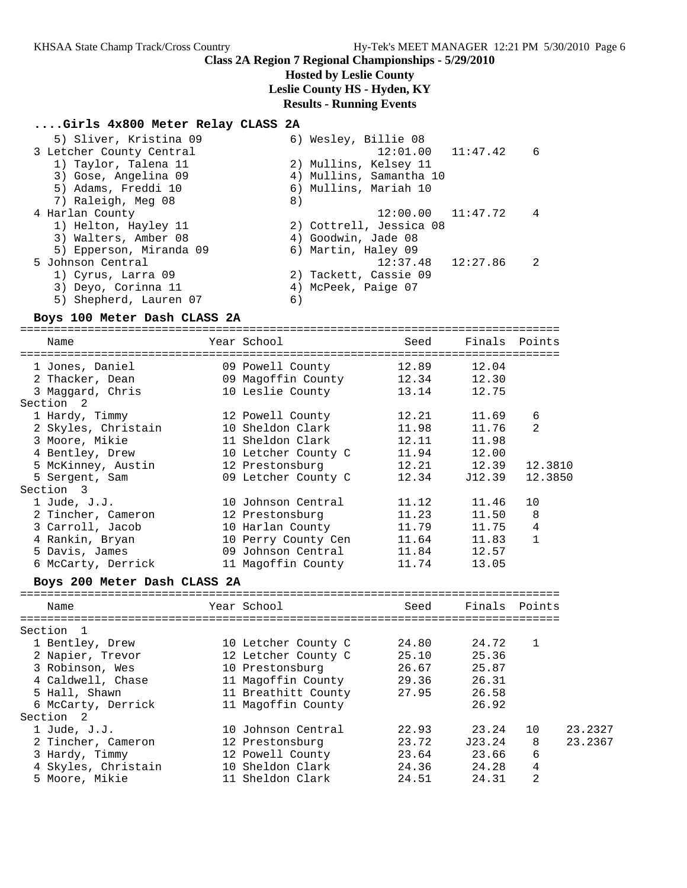### **Hosted by Leslie County**

**Leslie County HS - Hyden, KY**

#### **Results - Running Events**

#### **....Girls 4x800 Meter Relay CLASS 2A**

| 5) Sliver, Kristina 09   | 6) Wesley, Billie 08       |
|--------------------------|----------------------------|
| 3 Letcher County Central | $12:01.00$ $11:47.42$<br>6 |
| 1) Taylor, Talena 11     | 2) Mullins, Kelsey 11      |
| 3) Gose, Angelina 09     | 4) Mullins, Samantha 10    |
| 5) Adams, Freddi 10      | 6) Mullins, Mariah 10      |
| 7) Raleigh, Meg 08       | 8)                         |
| 4 Harlan County          | $12:00.00$ $11:47.72$<br>4 |
| 1) Helton, Hayley 11     | 2) Cottrell, Jessica 08    |
| 3) Walters, Amber 08     | 4) Goodwin, Jade 08        |
| 5) Epperson, Miranda 09  | 6) Martin, Haley 09        |
| 5 Johnson Central        | $12:37.48$ $12:27.86$<br>2 |
| 1) Cyrus, Larra 09       | 2) Tackett, Cassie 09      |
| 3) Deyo, Corinna 11      | 4) McPeek, Paige 07        |
| 5) Shepherd, Lauren 07   | 6)                         |

#### **Boys 100 Meter Dash CLASS 2A**

================================================================================

| Name                         | Year School         | Seed  | Finals        | Points         |
|------------------------------|---------------------|-------|---------------|----------------|
| 1 Jones, Daniel              | 09 Powell County    | 12.89 | 12.04         |                |
| 2 Thacker, Dean              | 09 Magoffin County  | 12.34 | 12.30         |                |
| 3 Maggard, Chris             | 10 Leslie County    | 13.14 | 12.75         |                |
| Section 2                    |                     |       |               |                |
| 1 Hardy, Timmy               | 12 Powell County    | 12.21 | 11.69         | 6              |
| 2 Skyles, Christain          | 10 Sheldon Clark    | 11.98 | 11.76         | $\mathfrak{D}$ |
| 3 Moore, Mikie               | 11 Sheldon Clark    | 12.11 | 11.98         |                |
| 4 Bentley, Drew              | 10 Letcher County C | 11.94 | 12.00         |                |
| 5 McKinney, Austin           | 12 Prestonsburg     | 12.21 | 12.39         | 12.3810        |
| 5 Sergent, Sam               | 09 Letcher County C | 12.34 | J12.39        | 12.3850        |
| Section 3                    |                     |       |               |                |
| $1$ Jude, J.J.               | 10 Johnson Central  | 11.12 | 11.46         | 10             |
| 2 Tincher, Cameron           | 12 Prestonsburg     | 11.23 | 11.50         | 8              |
| 3 Carroll, Jacob             | 10 Harlan County    | 11.79 | 11.75         | 4              |
| 4 Rankin, Bryan              | 10 Perry County Cen | 11.64 | 11.83         | $\mathbf{1}$   |
| 5 Davis, James               | 09 Johnson Central  | 11.84 | 12.57         |                |
| 6 McCarty, Derrick           | 11 Magoffin County  | 11.74 | 13.05         |                |
|                              |                     |       |               |                |
| Boys 200 Meter Dash CLASS 2A |                     |       |               |                |
| Name                         | Year School         | Seed  | Finals Points |                |
|                              |                     |       |               |                |
| Section 1                    |                     |       |               |                |
| 1 Bentley, Drew              | 10 Letcher County C | 24.80 | 24.72         | $\mathbf{1}$   |
| 2 Napier, Trevor             | 12 Letcher County C | 25.10 | 25.36         |                |
| 3 Robinson, Wes              | 10 Prestonsburg     | 26.67 | 25.87         |                |
| 4 Caldwell, Chase            | 11 Magoffin County  | 29.36 | 26.31         |                |
| 5 Hall, Shawn                | 11 Breathitt County | 27.95 | 26.58         |                |
| 6 McCarty, Derrick           | 11 Magoffin County  |       | 26.92         |                |
| Section 2                    |                     |       |               |                |
| $1$ Jude, J.J.               | 10 Johnson Central  | 22.93 | 23.24         | 10<br>23.2327  |

2 Tincher, Cameron 12 Prestonsburg 23.72 J23.24 8 23.2367

#### 3 Hardy, Timmy 12 Powell County 23.64 23.66 6 4 Skyles, Christain 10 Sheldon Clark 24.36 24.28 4 5 Moore, Mikie 11 Sheldon Clark 24.51 24.31 2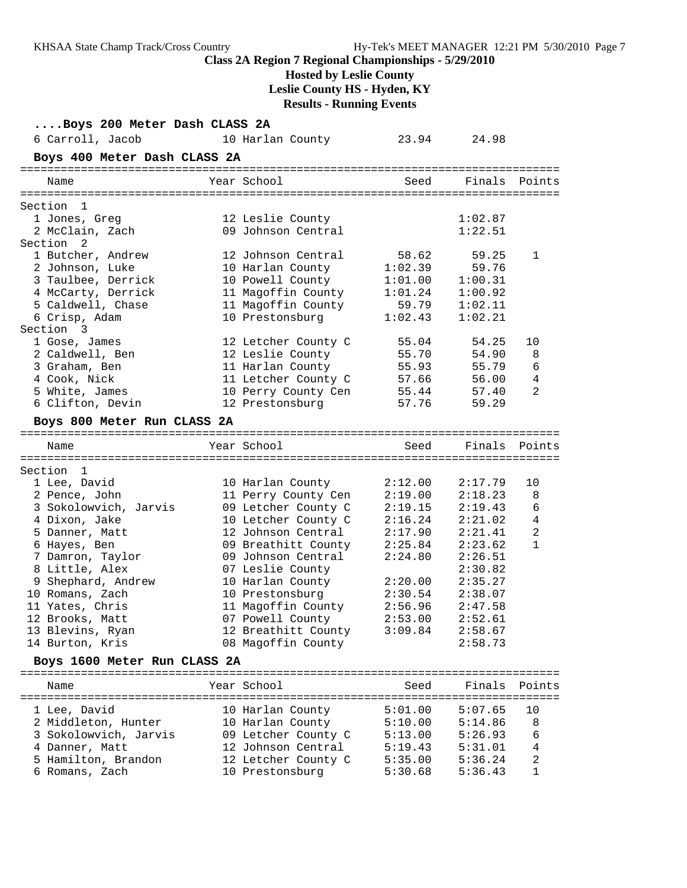**Class 2A Region 7 Regional Championships - 5/29/2010 Hosted by Leslie County Leslie County HS - Hyden, KY Results - Running Events ....Boys 200 Meter Dash CLASS 2A** 6 Carroll, Jacob 10 Harlan County 23.94 24.98 **Boys 400 Meter Dash CLASS 2A** ================================================================================ Name Year School Seed Finals Points ================================================================================ Section 1 1 Jones, Greg 12 Leslie County 1:02.87 2 McClain, Zach 09 Johnson Central 1:22.51 Section 2 1 Butcher, Andrew 12 Johnson Central 58.62 59.25 1 2 Johnson, Luke 10 Harlan County 1:02.39 59.76 3 Taulbee, Derrick 10 Powell County 1:01.00 1:00.31 4 McCarty, Derrick 11 Magoffin County 1:01.24 1:00.92 5 Caldwell, Chase 11 Magoffin County 59.79 1:02.11 6 Crisp, Adam 10 Prestonsburg 1:02.43 1:02.21 Section 3 1 Gose, James 12 Letcher County C 55.04 54.25 10 2 Caldwell, Ben 12 Leslie County 55.70 54.90 8 3 Graham, Ben 11 Harlan County 55.93 55.79 6 4 Cook, Nick 11 Letcher County C 57.66 56.00 4 5 White, James 10 Perry County Cen 55.44 57.40 2 6 Clifton, Devin 12 Prestonsburg 57.76 59.29 **Boys 800 Meter Run CLASS 2A** ================================================================================ Name Year School Seed Finals Points ================================================================================ Section 1 1 Lee, David 10 Harlan County 2:12.00 2:17.79 10 2 Pence, John 11 Perry County Cen 2:19.00 2:18.23 8 3 Sokolowvich, Jarvis 09 Letcher County C 2:19.15 2:19.43 6 4 Dixon, Jake 10 Letcher County C 2:16.24 2:21.02 4 5 Danner, Matt 12 Johnson Central 2:17.90 2:21.41 2 6 Hayes, Ben 09 Breathitt County 2:25.84 2:23.62 1 7 Damron, Taylor 09 Johnson Central 2:24.80 2:26.51 8 Little, Alex 07 Leslie County 2:30.82 9 Shephard, Andrew 10 Harlan County 2:20.00 2:35.27 10 Romans, Zach 10 Prestonsburg 2:30.54 2:38.07 11 Yates, Chris 11 Magoffin County 2:56.96 2:47.58 12 Brooks, Matt 07 Powell County 2:53.00 2:52.61 13 Blevins, Ryan 12 Breathitt County 3:09.84 2:58.67 14 Burton, Kris 08 Magoffin County 2:58.73 **Boys 1600 Meter Run CLASS 2A** ================================================================================ Name The Year School Seed Finals Points ================================================================================ 1 Lee, David 10 Harlan County 5:01.00 5:07.65 10 2 Middleton, Hunter 10 Harlan County 5:10.00 5:14.86 8 3 Sokolowvich, Jarvis 09 Letcher County C 5:13.00 5:26.93 6 4 Danner, Matt 12 Johnson Central 5:19.43 5:31.01 4 5 Hamilton, Brandon 12 Letcher County C 5:35.00 5:36.24 2

KHSAA State Champ Track/Cross Country Hy-Tek's MEET MANAGER 12:21 PM 5/30/2010 Page 7

6 Romans, Zach 10 Prestonsburg 5:30.68 5:36.43 1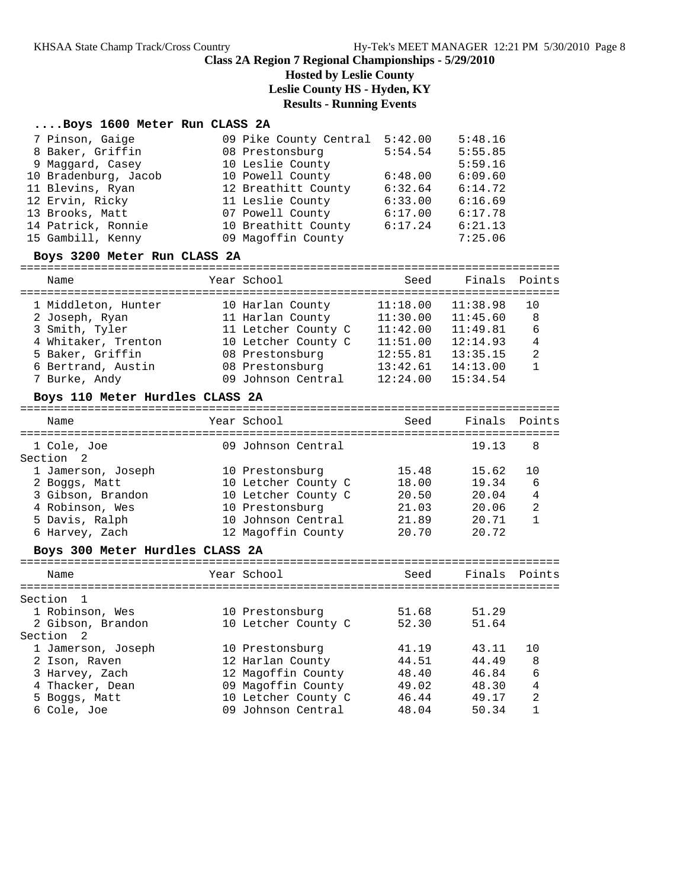## **Hosted by Leslie County**

**Leslie County HS - Hyden, KY**

### **Results - Running Events**

### **....Boys 1600 Meter Run CLASS 2A**

| 7 Pinson, Gaige      | 09 Pike County Central | 5:42.00 | 5:48.16 |
|----------------------|------------------------|---------|---------|
| 8 Baker, Griffin     | 08 Prestonsburg        | 5:54.54 | 5:55.85 |
| 9 Maggard, Casey     | 10 Leslie County       |         | 5:59.16 |
| 10 Bradenburg, Jacob | 10 Powell County       | 6:48.00 | 6:09.60 |
| 11 Blevins, Ryan     | 12 Breathitt County    | 6:32.64 | 6:14.72 |
| 12 Ervin, Ricky      | 11 Leslie County       | 6:33.00 | 6:16.69 |
| 13 Brooks, Matt      | 07 Powell County       | 6:17.00 | 6:17.78 |
| 14 Patrick, Ronnie   | 10 Breathitt County    | 6:17.24 | 6:21.13 |
| 15 Gambill, Kenny    | 09 Magoffin County     |         | 7:25.06 |

#### **Boys 3200 Meter Run CLASS 2A**

================================================================================

| Name                                  | Year School                           | Seed                 | Finals Points        |              |
|---------------------------------------|---------------------------------------|----------------------|----------------------|--------------|
| 1 Middleton, Hunter<br>2 Joseph, Ryan | 10 Harlan County<br>11 Harlan County  | 11:18.00<br>11:30.00 | 11:38.98<br>11:45.60 | 10<br>8      |
| 3 Smith, Tyler                        | 11 Letcher County C                   | 11:42.00             | 11:49.81             | 6            |
| 4 Whitaker, Trenton                   | 10 Letcher County C                   | 11:51.00             | 12:14.93             | 4            |
| 5 Baker, Griffin                      | 08 Prestonsburg                       | 12:55.81             | 13:35.15             | 2            |
| 6 Bertrand, Austin<br>7 Burke, Andy   | 08 Prestonsburg<br>09 Johnson Central | 13:42.61<br>12:24.00 | 14:13.00<br>15:34.54 | $\mathbf{1}$ |
|                                       |                                       |                      |                      |              |

#### **Boys 110 Meter Hurdles CLASS 2A**

|  | Seed                                                                                                                                                                                                                                                                                                 | Finals | Points         |
|--|------------------------------------------------------------------------------------------------------------------------------------------------------------------------------------------------------------------------------------------------------------------------------------------------------|--------|----------------|
|  |                                                                                                                                                                                                                                                                                                      | 19.13  | 8              |
|  |                                                                                                                                                                                                                                                                                                      |        |                |
|  | 15.48                                                                                                                                                                                                                                                                                                | 15.62  | 10             |
|  | 18.00                                                                                                                                                                                                                                                                                                | 19.34  | 6              |
|  | 20.50                                                                                                                                                                                                                                                                                                | 20.04  | $\overline{4}$ |
|  | 21.03                                                                                                                                                                                                                                                                                                | 20.06  | $\overline{2}$ |
|  | 21.89                                                                                                                                                                                                                                                                                                | 20.71  | $\mathbf{1}$   |
|  | 20.70                                                                                                                                                                                                                                                                                                | 20.72  |                |
|  |                                                                                                                                                                                                                                                                                                      |        |                |
|  | Seed                                                                                                                                                                                                                                                                                                 | Finals | Points         |
|  |                                                                                                                                                                                                                                                                                                      |        |                |
|  | 51.68                                                                                                                                                                                                                                                                                                | 51.29  |                |
|  | 52.30                                                                                                                                                                                                                                                                                                | 51.64  |                |
|  |                                                                                                                                                                                                                                                                                                      |        |                |
|  | 41.19                                                                                                                                                                                                                                                                                                | 43.11  | 10             |
|  | 44.51                                                                                                                                                                                                                                                                                                | 44.49  | 8              |
|  | Year School<br>09 Johnson Central<br>10 Prestonsburg<br>10 Letcher County C<br>10 Letcher County C<br>10 Prestonsburg<br>10 Johnson Central<br>12 Magoffin County<br>Boys 300 Meter Hurdles CLASS 2A<br>Year School<br>10 Prestonsburg<br>10 Letcher County C<br>10 Prestonsburg<br>12 Harlan County |        |                |

 3 Harvey, Zach 12 Magoffin County 48.40 46.84 6 4 Thacker, Dean 09 Magoffin County 49.02 48.30 4 5 Boggs, Matt 10 Letcher County C 46.44 49.17 2 6 Cole, Joe 09 Johnson Central 48.04 50.34 1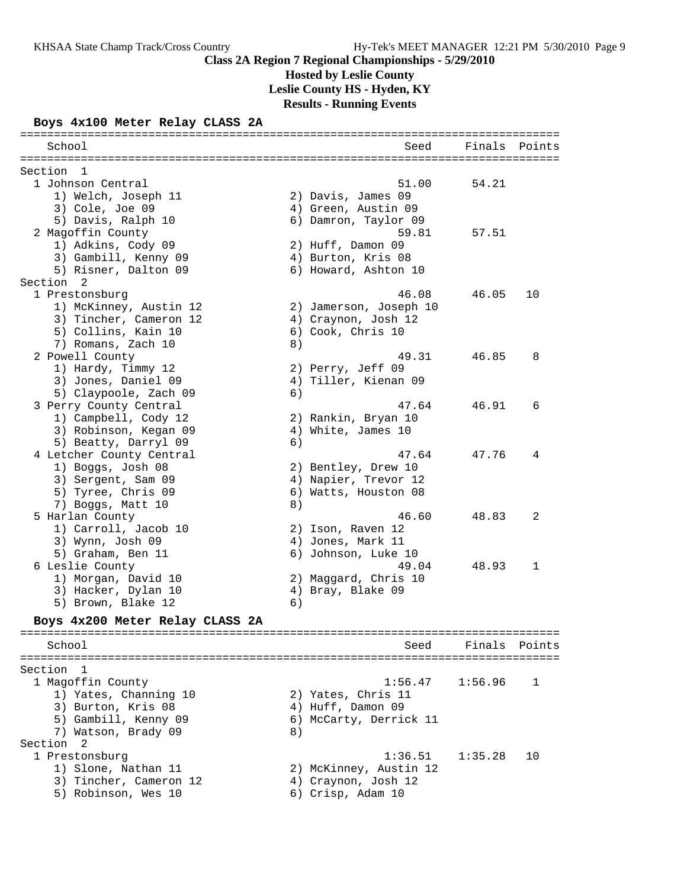**Hosted by Leslie County**

**Leslie County HS - Hyden, KY**

### **Results - Running Events**

### **Boys 4x100 Meter Relay CLASS 2A**

| School                          |    | Seed                   | Finals  | Points |
|---------------------------------|----|------------------------|---------|--------|
| Section<br>$\overline{1}$       |    |                        |         |        |
| 1 Johnson Central               |    | 51.00                  | 54.21   |        |
| 1) Welch, Joseph 11             |    | 2) Davis, James 09     |         |        |
| 3) Cole, Joe 09                 |    | 4) Green, Austin 09    |         |        |
| 5) Davis, Ralph 10              |    | 6) Damron, Taylor 09   |         |        |
| 2 Magoffin County               |    | 59.81                  | 57.51   |        |
| 1) Adkins, Cody 09              |    | 2) Huff, Damon 09      |         |        |
| 3) Gambill, Kenny 09            |    | 4) Burton, Kris 08     |         |        |
| 5) Risner, Dalton 09            |    | 6) Howard, Ashton 10   |         |        |
| Section<br>2                    |    |                        |         |        |
| 1 Prestonsburg                  |    | 46.08                  | 46.05   | 10     |
| 1) McKinney, Austin 12          |    | 2) Jamerson, Joseph 10 |         |        |
| 3) Tincher, Cameron 12          |    | 4) Craynon, Josh 12    |         |        |
| 5) Collins, Kain 10             |    | 6) Cook, Chris 10      |         |        |
| 7) Romans, Zach 10              | 8) |                        |         |        |
| 2 Powell County                 |    | 49.31                  | 46.85   | 8      |
| 1) Hardy, Timmy 12              |    | 2) Perry, Jeff 09      |         |        |
| 3) Jones, Daniel 09             |    | 4) Tiller, Kienan 09   |         |        |
| 5) Claypoole, Zach 09           | 6) |                        |         |        |
| 3 Perry County Central          |    | 47.64                  | 46.91   | 6      |
| 1) Campbell, Cody 12            |    | 2) Rankin, Bryan 10    |         |        |
| 3) Robinson, Kegan 09           |    | 4) White, James 10     |         |        |
| 5) Beatty, Darryl 09            | 6) |                        |         |        |
| 4 Letcher County Central        |    | 47.64                  | 47.76   | 4      |
| 1) Boggs, Josh 08               |    | 2) Bentley, Drew 10    |         |        |
| 3) Sergent, Sam 09              |    | 4) Napier, Trevor 12   |         |        |
| 5) Tyree, Chris 09              |    | 6) Watts, Houston 08   |         |        |
| 7) Boggs, Matt 10               | 8) |                        |         |        |
| 5 Harlan County                 |    | 46.60                  | 48.83   | 2      |
| 1) Carroll, Jacob 10            |    | 2) Ison, Raven 12      |         |        |
| 3) Wynn, Josh 09                |    | 4) Jones, Mark 11      |         |        |
| 5) Graham, Ben 11               |    | 6) Johnson, Luke 10    |         |        |
| 6 Leslie County                 |    | 49.04                  | 48.93   | 1      |
| 1) Morgan, David 10             |    | 2) Maggard, Chris 10   |         |        |
| 3) Hacker, Dylan 10             |    | 4) Bray, Blake 09      |         |        |
| 5) Brown, Blake 12              | 6) |                        |         |        |
| Boys 4x200 Meter Relay CLASS 2A |    |                        |         |        |
| School                          |    | Seed                   | Finals  | Points |
|                                 |    |                        |         |        |
| Section 1                       |    |                        |         |        |
| 1 Magoffin County               |    | 1:56.47                | 1:56.96 | 1      |

 1) Yates, Channing 10 2) Yates, Chris 11 3) Burton, Kris 08 4) Huff, Damon 09 5) Gambill, Kenny 09 6) McCarty, Derrick 11 7) Watson, Brady 09 8) Section 2 1 Prestonsburg 1:36.51 1:35.28 10 1) Slone, Nathan 11 2) McKinney, Austin 12 3) Tincher, Cameron 12 4) Craynon, Josh 12 5) Robinson, Wes 10 (6) Crisp, Adam 10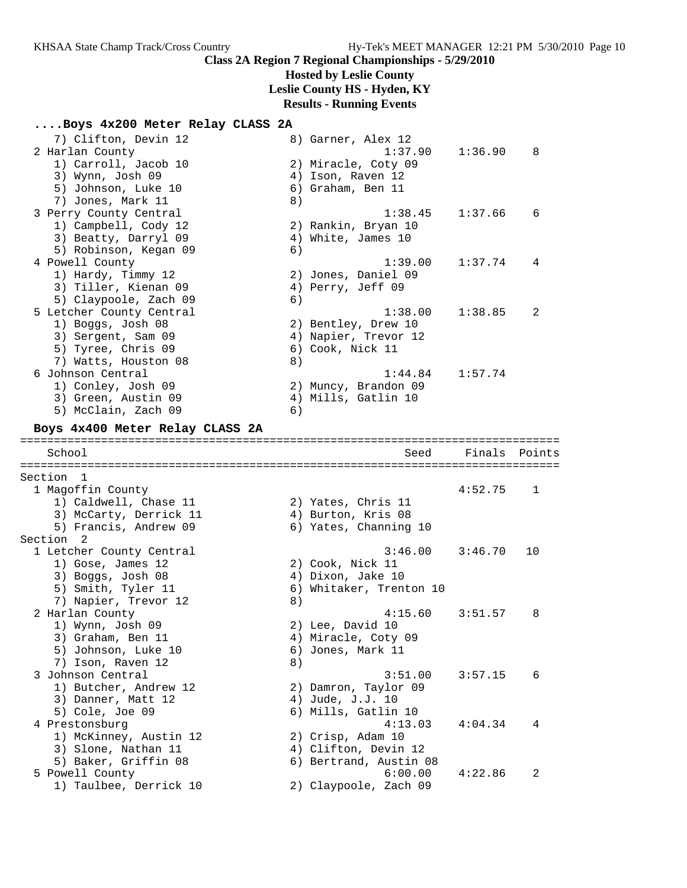## **Hosted by Leslie County**

**Leslie County HS - Hyden, KY**

# **Results - Running Events**

## **....Boys 4x200 Meter Relay CLASS 2A**

|         | 7) Clifton, Devin 12                      |    | 8) Garner, Alex 12               |         |        |
|---------|-------------------------------------------|----|----------------------------------|---------|--------|
|         | 2 Harlan County                           |    | 1:37.90                          | 1:36.90 | 8      |
|         | 1) Carroll, Jacob 10                      |    | 2) Miracle, Coty 09              |         |        |
|         | 3) Wynn, Josh 09                          |    | 4) Ison, Raven 12                |         |        |
|         | 5) Johnson, Luke 10                       |    | 6) Graham, Ben 11                |         |        |
|         | 7) Jones, Mark 11                         | 8) |                                  |         |        |
|         | 3 Perry County Central                    |    | 1:38.45                          | 1:37.66 | 6      |
|         | 1) Campbell, Cody 12                      |    | 2) Rankin, Bryan 10              |         |        |
|         | 3) Beatty, Darryl 09                      |    | 4) White, James 10               |         |        |
|         | 5) Robinson, Kegan 09                     | 6) |                                  |         |        |
|         | 4 Powell County                           |    | 1:39.00                          | 1:37.74 | 4      |
|         | 1) Hardy, Timmy 12                        |    | 2) Jones, Daniel 09              |         |        |
|         | 3) Tiller, Kienan 09                      |    | 4) Perry, Jeff 09                |         |        |
|         | 5) Claypoole, Zach 09                     | 6) |                                  |         |        |
|         | 5 Letcher County Central                  |    | 1:38.00                          | 1:38.85 | 2      |
|         | 1) Boggs, Josh 08                         |    | 2) Bentley, Drew 10              |         |        |
|         | 3) Sergent, Sam 09                        |    | 4) Napier, Trevor 12             |         |        |
|         | 5) Tyree, Chris 09                        |    | 6) Cook, Nick 11                 |         |        |
|         | 7) Watts, Houston 08                      | 8) |                                  |         |        |
|         | 6 Johnson Central                         |    | 1:44.84                          | 1:57.74 |        |
|         |                                           |    |                                  |         |        |
|         | 1) Conley, Josh 09                        |    | 2) Muncy, Brandon 09             |         |        |
|         | 3) Green, Austin 09                       |    | 4) Mills, Gatlin 10              |         |        |
|         | 5) McClain, Zach 09                       | 6) |                                  |         |        |
|         | Boys 4x400 Meter Relay CLASS 2A           |    |                                  |         |        |
|         |                                           |    |                                  |         |        |
|         | School                                    |    | Seed                             | Finals  | Points |
| Section |                                           |    |                                  |         |        |
|         |                                           |    |                                  |         |        |
|         | - 1                                       |    |                                  |         |        |
|         | 1 Magoffin County                         |    |                                  | 4:52.75 | 1      |
|         | 1) Caldwell, Chase 11                     |    | 2) Yates, Chris 11               |         |        |
|         | 3) McCarty, Derrick 11                    |    | 4) Burton, Kris 08               |         |        |
|         | 5) Francis, Andrew 09                     |    | 6) Yates, Channing 10            |         |        |
|         | Section <sub>2</sub>                      |    |                                  |         |        |
|         | 1 Letcher County Central                  |    | 3:46.00                          | 3:46.70 | 10     |
|         | 1) Gose, James 12                         |    | 2) Cook, Nick 11                 |         |        |
|         | 3) Boggs, Josh 08                         |    | 4) Dixon, Jake 10                |         |        |
|         | 5) Smith, Tyler 11                        |    | 6) Whitaker, Trenton 10          |         |        |
|         | 7) Napier, Trevor 12                      | 8) |                                  |         |        |
|         | 2 Harlan County                           |    | 4:15.60                          | 3:51.57 | 8      |
|         | 1) Wynn, Josh 09                          |    | 2) Lee, David 10                 |         |        |
|         | 3) Graham, Ben 11                         |    | 4) Miracle, Coty 09              |         |        |
|         | 5) Johnson, Luke 10                       |    | 6) Jones, Mark 11                |         |        |
|         | 7) Ison, Raven 12                         | 8) |                                  |         |        |
|         | 3 Johnson Central                         |    | 3:51.00                          | 3:57.15 | 6      |
|         | 1) Butcher, Andrew 12                     |    | 2) Damron, Taylor 09             |         |        |
|         | 3) Danner, Matt 12                        |    | 4) Jude, J.J. 10                 |         |        |
|         | 5) Cole, Joe 09                           |    | 6) Mills, Gatlin 10              |         |        |
|         | 4 Prestonsburg                            |    | 4:13.03                          | 4:04.34 | 4      |
|         | 1) McKinney, Austin 12                    |    | 2) Crisp, Adam 10                |         |        |
|         | 3) Slone, Nathan 11                       |    | 4) Clifton, Devin 12             |         |        |
|         | 5) Baker, Griffin 08                      |    | 6) Bertrand, Austin 08           |         |        |
|         | 5 Powell County<br>1) Taulbee, Derrick 10 |    | 6:00.00<br>2) Claypoole, Zach 09 | 4:22.86 | 2      |